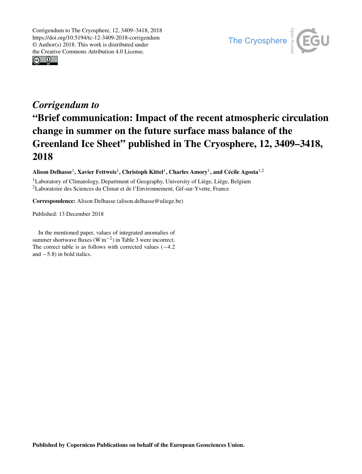



## *Corrigendum to* "Brief communication: Impact of the recent atmospheric circulation change in summer on the future surface mass balance of the Greenland Ice Sheet" published in The Cryosphere, 12, 3409–3418, 2018

Alison Delhasse<sup>[1](#page-0-0)</sup>, Xavier Fettweis<sup>1</sup>, Christoph Kittel<sup>1</sup>, Charles Amory<sup>1</sup>, and Cécile Agosta<sup>[1,2](#page-0-0)</sup>

<sup>1</sup>Laboratory of Climatology, Department of Geography, University of Liège, Liège, Belgium <sup>2</sup>Laboratoire des Sciences du Climat et de l'Environnement, Gif-sur-Yvette, France

Correspondence: Alison Delhasse (alison.delhasse@uliege.be)

Published: 13 December 2018

<span id="page-0-0"></span>In the mentioned paper, values of integrated anomalies of summer shortwave fluxes (W m<sup>-2</sup>) in Table 3 were incorrect. The correct table is as follows with corrected values  $(-4.2)$ and −5.8) in bold italics.